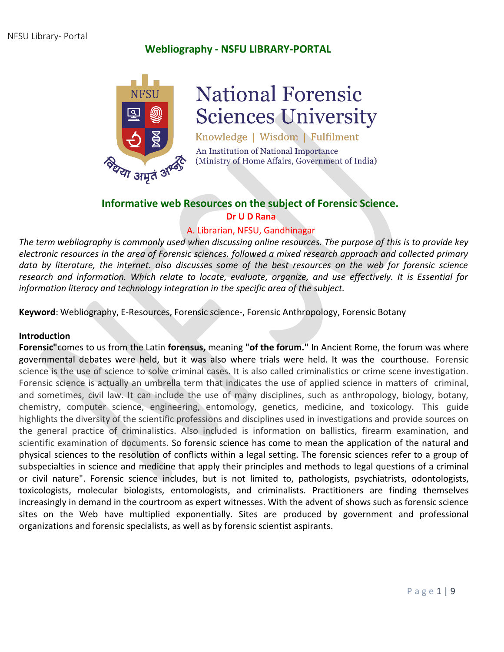### **Webliography - NSFU LIBRARY-PORTAL**



# **National Forensic Sciences University**

Knowledge | Wisdom | Fulfilment An Institution of National Importance (Ministry of Home Affairs, Government of India)

## **Informative web Resources on the subject of Forensic Science.**

**Dr U D Rana**

#### A. Librarian, NFSU, Gandhinagar

*The term webliography is commonly used when discussing online resources. The purpose of this is to provide key electronic resources in the area of Forensic sciences. followed a mixed research approach and collected primary data by literature, the internet. also discusses some of the best resources on the web for forensic science research and information. Which relate to locate, evaluate, organize, and use effectively. It is Essential for information literacy and technology integration in the specific area of the subject.*

**Keyword**: Webliography, E-Resources, Forensic science-, Forensic Anthropology, Forensic Botany

#### **Introduction**

**Forensic"**comes to us from the Latin **forensus,** meaning **"of the forum."** In Ancient Rome, the forum was where governmental debates were held, but it was also where trials were held. It was the courthouse. Forensic science is the use of science to solve criminal cases. It is also called criminalistics or crime scene investigation. Forensic science is actually an umbrella term that indicates the use of applied science in matters of criminal, and sometimes, civil law. It can include the use of many disciplines, such as anthropology, biology, botany, chemistry, computer science, engineering, entomology, genetics, medicine, and toxicology. This guide highlights the diversity of the scientific professions and disciplines used in investigations and provide sources on the general practice of criminalistics. Also included is information on ballistics, firearm examination, and scientific examination of documents. So forensic science has come to mean the application of the natural and physical sciences to the resolution of conflicts within a legal setting. The forensic sciences refer to a group of subspecialties in science and medicine that apply their principles and methods to legal questions of a criminal or civil nature". Forensic science includes, but is not limited to, pathologists, psychiatrists, odontologists, toxicologists, molecular biologists, entomologists, and criminalists. Practitioners are finding themselves increasingly in demand in the courtroom as expert witnesses. With the advent of shows such as forensic science sites on the Web have multiplied exponentially. Sites are produced by government and professional organizations and forensic specialists, as well as by forensic scientist aspirants.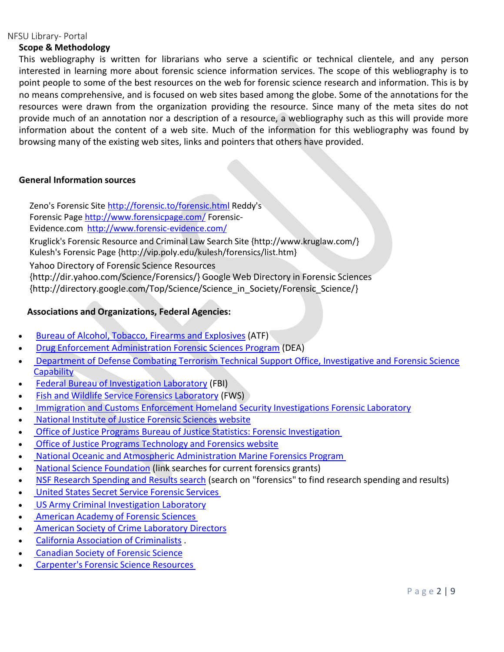#### **Scope & Methodology**

This webliography is written for librarians who serve a scientific or technical clientele, and any person interested in learning more about forensic science information services. The scope of this webliography is to point people to some of the best resources on the web for forensic science research and information. This is by no means comprehensive, and is focused on web sites based among the globe. Some of the annotations for the resources were drawn from the organization providing the resource. Since many of the meta sites do not provide much of an annotation nor a description of a resource, a webliography such as this will provide more information about the content of a web site. Much of the information for this webliography was found by browsing many of the existing web sites, links and pointers that others have provided.

#### **General Information sources**

Zeno's Forensic Site <http://forensic.to/forensic.html> Reddy's Forensic Page <http://www.forensicpage.com/> Forensic-Evidence.com <http://www.forensic-evidence.com/> Kruglick's Forensic Resource and Criminal Law Search Site [{http://www.kruglaw.com/}](http://www.kruglaw.com/) Kulesh's Forensic Page [{http://vip.poly.edu/kulesh/forensics/list.htm}](http://vip.poly.edu/kulesh/forensics/list.htm) Yahoo Directory of Forensic Science Resources [{http://dir.yahoo.com/Science/Forensics/}](http://dir.yahoo.com/Science/Forensics/) Google Web Directory in Forensic Sciences [{http://directory.google.com/Top/Science/Science\\_in\\_Society/Forensic\\_Science/}](http://directory.google.com/Top/Science/Science_in_Society/Forensic_Science/)

#### **Associations and Organizations, Federal Agencies:**

- Bureau of Alcohol, Tobacco, Firearms and [Explosives](http://www.atf.gov/) (ATF)
- Drug Enforcement [Administration](http://www.justice.gov/dea/ops/forensic.shtml) Forensic Sciences Program (DEA)
- Department of Defense Combating Terrorism Technical Support Office, Investigative and Forensic Science **Capability**
- Federal Bureau of [Investigation](http://www.fbi.gov/about-us/lab) Laboratory (FBI)
- Fish and Wildlife Service Forensics [Laboratory](http://www.fws.gov/lab/) (FWS)
- Immigration and Customs Enforcement Homeland Security [Investigations](http://www.ice.gov/hsi-fl/) Forensic Laboratory
- [National](http://www.nij.gov/topics/forensics) Institute of Justice Forensic Sciences website
- Office of Justice Programs Bureau of Justice Statistics: Forensic [Investigation](http://www.bjs.gov/index.cfm?ty=tp&tid=78)
- **Office of Justice Programs [Technology](http://www.crimesolutions.gov/TopicDetails.aspx?ID=7) and Forensics website**
- National Oceanic and Atmospheric [Administration](http://www.chbr.noaa.gov/habar/marine_forensics.aspx) Marine Forensics Program
- National Science [Foundation](http://www.nsf.gov/awardsearch/simpleSearchResult?queryText=forensics&ActiveAwards=true) (link searches for current forensics grants)
- NSF Research [Spending](https://www.research.gov/research-portal/appmanager/base/desktop?_nfpb=true&_eventName=viewQuickSearchFormEvent_so_rsr) and Results search (search on "forensics" to find research spending and results)
- United States Secret Service [Forensic](http://www.secretservice.gov/forensics.shtml) Services
- US Army Criminal [Investigation](http://www.cid.army.mil/usacil.html) Laboratory
- [American](http://www.aafs.org/) Academy of Forensic Sciences
- American Society of Crime [Laboratory](http://www.ascld.org/) Directors
- California Association of [Criminalists](http://www.cacnews.org/) .
- [Canadian](http://www.csfs.ca/) Society of Forensic Science
- [Carpenter's](http://www.tncrimlaw.com/forensic/) Forensic Science Resources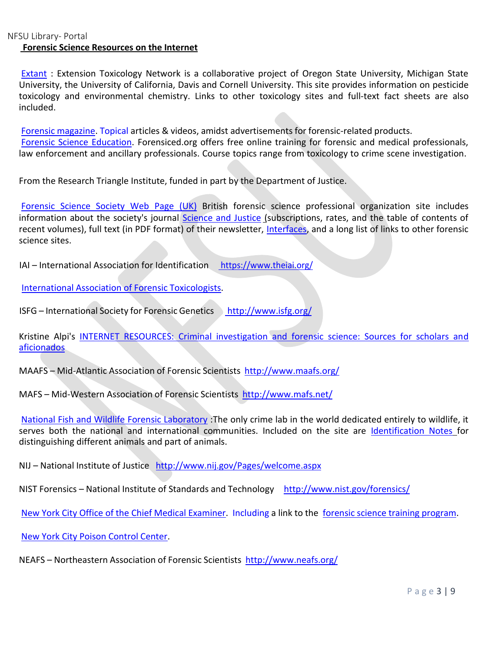#### NFSU Library- Portal **Forensic Science [Resources](http://www.istl.org/03-spring/internet.html) on the Internet**

[Extant](http://ace.orst.edu/info/extoxnet/) : Extension Toxicology Network is a collaborative project of Oregon State University, Michigan State University, the University of California, Davis and Cornell University. This site provides information on pesticide toxicology and environmental chemistry. Links to other toxicology sites and full-text fact sheets are also included.

Forensic [magazine.](http://www.forensicmag.com/) Topical articles & videos, amidst advertisements for forensic-related products. [Forensic Science Education](https://www.forensiced.org/index.cfm). Forensiced.org offers free online training for forensic and medical professionals, law enforcement and ancillary professionals. Course topics range from toxicology to crime scene investigation.

From the Research Triangle Institute, funded in part by the Department of Justice.

[Forensic](http://www.forensic-science-society.org.uk/) Science Society Web Page (UK) British forensic science professional organization site includes information about the society's journal [Science and Justice](http://www.forensic-science-society.org.uk/publications/saj.html) (subscriptions, rates, and the table of contents of recent volumes), full text (in PDF format) of their newsletter, [Interfaces](http://www.forensic-science-society.org.uk/publications/interfaces.html), and a long list of links to other forensic science sites.

IAI – International Association for Identification <https://www.theiai.org/>

International Association of Forensic [Toxicologists.](http://www.tiaft.org/)

ISFG – International Society for Forensic Genetics <http://www.isfg.org/>

Kristine Alpi's [INTERNET RESOURCES: Criminal investigation and forensic science: Sources for scholars and](http://www.ala.org/ala/mgrps/divs/acrl/publications/crlnews/2003/oct/criminalinvestigation.cfm) [aficionados](http://www.ala.org/ala/mgrps/divs/acrl/publications/crlnews/2003/oct/criminalinvestigation.cfm)

MAAFS – Mid-Atlantic Association of Forensic Scientists <http://www.maafs.org/>

MAFS – Mid-Western Association of Forensic Scientists <http://www.mafs.net/>

[National Fish and Wildlife Forensic Laboratory](http://www.lab.fws.gov/index.html) :The only crime lab in the world dedicated entirely to wildlife, it serves both the national and international communities. Included on the site are [Identification Notes](http://www.lab.fws.gov/lab/docs/idnotes/idnotes.html) for distinguishing different animals and part of animals.

NIJ – National Institute of Justice <http://www.nij.gov/Pages/welcome.aspx>

NIST Forensics – National Institute of Standards and Technology <http://www.nist.gov/forensics/>

New York City Office of the Chief Medical [Examiner.](http://www.nyc.gov/html/ocme/html/home/home.shtml) Including a link to the [forensic](https://a913-mli.nyc.gov/fstp/) science training program.

New York City Poison [Control](http://www.nyc.gov/html/doh/html/poison/poison.shtml) Center.

NEAFS – Northeastern Association of Forensic Scientists <http://www.neafs.org/>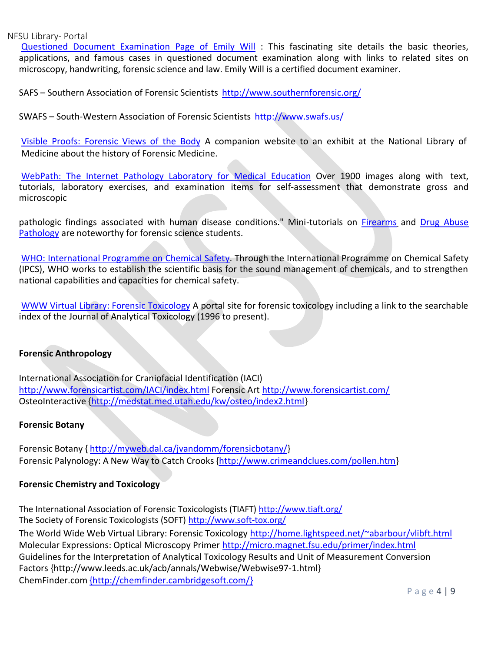Questioned Document [Examination](http://www.qdewill.com/) Page of Emily Will : This fascinating site details the basic theories, applications, and famous cases in questioned document examination along with links to related sites on microscopy, handwriting, forensic science and law. Emily Will is a certified document examiner.

SAFS – Southern Association of Forensic Scientists <http://www.southernforensic.org/>

SWAFS – South-Western Association of Forensic Scientists <http://www.swafs.us/>

Visible Proofs: [Forensic](http://www.nlm.nih.gov/visibleproofs/index.html) Views of the Body A companion website to an exhibit at the National Library of Medicine about the history of Forensic Medicine.

WebPath: The Internet Pathology [Laboratory](http://www-medlib.med.utah.edu/WebPath/webpath.html#MENU) for Medical Education Over 1900 images along with text, tutorials, laboratory exercises, and examination items for self-assessment that demonstrate gross and microscopic

pathologic findings associated with human disease conditions." Mini-tutorials on [Firearms](http://www-medlib.med.utah.edu/WebPath/TUTORIAL/GUNS/GUNINTRO.html) and [Drug Abuse](http://www-medlib.med.utah.edu/WebPath/TUTORIAL/DRUG/DRUG.html) [Pathology](http://www-medlib.med.utah.edu/WebPath/TUTORIAL/DRUG/DRUG.html) are noteworthy for forensic science students.

[WHO: International Programme on Chemical Safety](http://www.who.int/ipcs/en/). Through the International Programme on Chemical Safety (IPCS), WHO works to establish the scientific basis for the sound management of chemicals, and to strengthen national capabilities and capacities for chemical safety.

[WWW Virtual Library: Forensic Toxicology](http://home.lightspeed.net/~abarbour/vlibft.html) A portal site for forensic toxicology including a link to the searchable index of the Journal of Analytical Toxicology (1996 to present).

#### **Forensic Anthropology**

International Association for Craniofacial Identification (IACI) <http://www.forensicartist.com/IACI/index.html> Forensic Art <http://www.forensicartist.com/> OsteoInteractive [{http://medstat.med.utah.edu/kw/osteo/index2.html}](http://medstat.med.utah.edu/kw/osteo/index2.html)

#### **Forensic Botany**

Forensic Botany { <http://myweb.dal.ca/jvandomm/forensicbotany/>} Forensic Palynology: A New Way to Catch Crooks [{http://www.crimeandclues.com/pollen.htm}](http://www.crimeandclues.com/pollen.htm)

#### **Forensic Chemistry and Toxicology**

The International Association of Forensic Toxicologists (TIAFT) <http://www.tiaft.org/> The Society of Forensic Toxicologists (SOFT) <http://www.soft-tox.org/>

The World Wide Web Virtual Library: Forensic Toxicology <http://home.lightspeed.net/~abarbour/vlibft.html> Molecular Expressions: Optical Microscopy Primer <http://micro.magnet.fsu.edu/primer/index.html> Guidelines for the Interpretation of Analytical Toxicology Results and Unit of Measurement Conversion Factors [{http://www.leeds.ac.uk/acb/annals/Webwise/Webwise97-1.html}](http://www.leeds.ac.uk/acb/annals/Webwise/Webwise97-1.html) ChemFinder.com [{http://chemfinder.cambridgesoft.com/}](http://chemfinder.cambridgesoft.com/)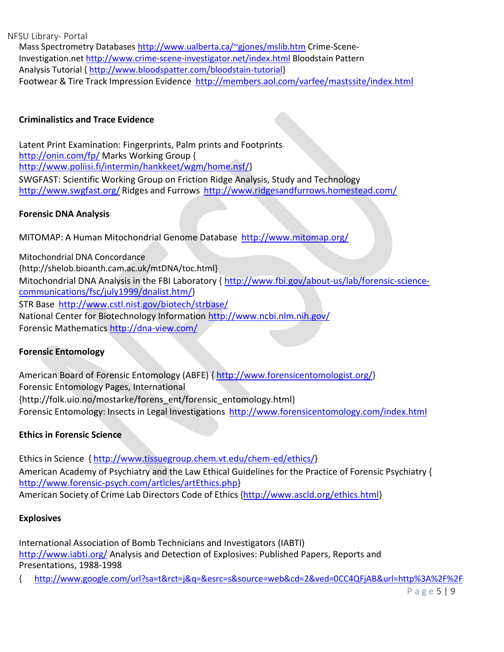Mass Spectrometry Databases <http://www.ualberta.ca/~gjones/mslib.htm> Crime-Scene-Investigation.net <http://www.crime-scene-investigator.net/index.html> Bloodstain Pattern Analysis Tutorial { [http://www.bloodspatter.com/bloodstain-tutorial}](http://www.bloodspatter.com/bloodstain-tutorial) Footwear & Tire Track Impression Evidence <http://members.aol.com/varfee/mastssite/index.html>

#### **Criminalistics and Trace Evidence**

Latent Print Examination: Fingerprints, Palm prints and Footprints <http://onin.com/fp/> Marks Working Group { [http://www.poliisi.fi/intermin/hankkeet/wgm/home.nsf/](http://www.poliisi.fi/intermin/hankkeet/wgm/home.nsf)} SWGFAST: Scientific Working Group on Friction Ridge Analysis, Study and Technology <http://www.swgfast.org/> Ridges and Furrows <http://www.ridgesandfurrows.homestead.com/>

#### **Forensic DNA Analysis**

MITOMAP: A Human Mitochondrial Genome Database <http://www.mitomap.org/>

Mitochondrial DNA Concordance [{http://shelob.bioanth.cam.ac.uk/mtDNA/toc.html}](http://shelob.bioanth.cam.ac.uk/mtDNA/toc.html) Mitochondrial DNA Analysis in the FBI Laboratory { [http://www.fbi.gov/about-us/lab/forensic-science](http://www.fbi.gov/about-us/lab/forensic-science-communications/fsc/july1999/dnalist.htm/)[communications/fsc/july1999/dnalist.htm/](http://www.fbi.gov/about-us/lab/forensic-science-communications/fsc/july1999/dnalist.htm/)} STR Base <http://www.cstl.nist.gov/biotech/strbase/> National Center for Biotechnology Information <http://www.ncbi.nlm.nih.gov/> Forensic Mathematics <http://dna-view.com/>

#### **Forensic Entomology**

American Board of Forensic Entomology (ABFE) {<http://www.forensicentomologist.org/>} Forensic Entomology Pages, International [{http://folk.uio.no/mostarke/forens\\_ent/forensic\\_entomology.html}](http://folk.uio.no/mostarke/forens_ent/forensic_entomology.html) Forensic Entomology: Insects in Legal Investigations <http://www.forensicentomology.com/index.html>

#### **Ethics in Forensic Science**

Ethics in Science { <http://www.tissuegroup.chem.vt.edu/chem-ed/ethics/>} American Academy of Psychiatry and the Law Ethical Guidelines for the Practice of Forensic Psychiatry { <http://www.forensic-psych.com/articles/artEthics.php>} American Society of Crime Lab Directors Code of Ethics [{http://www.ascld.org/ethics.html}](http://www.ascld.org/ethics.html)

#### **Explosives**

International Association of Bomb Technicians and Investigators (IABTI) <http://www.iabti.org/> Analysis and Detection of Explosives: Published Papers, Reports and Presentations, 1988-1998

{ [http://www.google.com/url?sa=t&rct=j&q=&esrc=s&source=web&cd=2&ved=0CC4QFjAB&url=http%3A%2F%2F](http://www.google.com/url?sa=t&rct=j&q&esrc=s&source=web&cd=2&ved=0CC4QFjAB&url=http%3A%2F%2Fncfs.ucf.edu%2Ftwgfex%2Fdocs%2FAnalysis_and_Detection_of_Explosives.pdf&ei=tukcUozIHsqaigL254B4&usg=AFQjCNHvW1pR2ACgeP916KK4uxeHBaCDtg&sig2=v0YpS29fGPkv3fGvMoBBqg&bvm=bv.51156542%2Cd.cGE&cad=rja)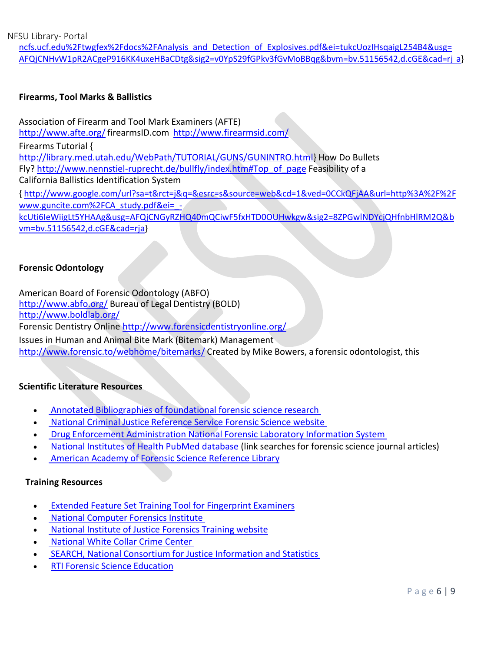[ncfs.ucf.edu%2Ftwgfex%2Fdocs%2FAnalysis\\_and\\_Detection\\_of\\_Explosives.pdf&ei=tukcUozIHsqaigL254B4&usg=](http://www.google.com/url?sa=t&rct=j&q&esrc=s&source=web&cd=2&ved=0CC4QFjAB&url=http%3A%2F%2Fncfs.ucf.edu%2Ftwgfex%2Fdocs%2FAnalysis_and_Detection_of_Explosives.pdf&ei=tukcUozIHsqaigL254B4&usg=AFQjCNHvW1pR2ACgeP916KK4uxeHBaCDtg&sig2=v0YpS29fGPkv3fGvMoBBqg&bvm=bv.51156542%2Cd.cGE&cad=rja) [AFQjCNHvW1pR2ACgeP916KK4uxeHBaCDtg&sig2=v0YpS29fGPkv3fGvMoBBqg&bvm=bv.51156542,d.cGE&cad=rj](http://www.google.com/url?sa=t&rct=j&q&esrc=s&source=web&cd=2&ved=0CC4QFjAB&url=http%3A%2F%2Fncfs.ucf.edu%2Ftwgfex%2Fdocs%2FAnalysis_and_Detection_of_Explosives.pdf&ei=tukcUozIHsqaigL254B4&usg=AFQjCNHvW1pR2ACgeP916KK4uxeHBaCDtg&sig2=v0YpS29fGPkv3fGvMoBBqg&bvm=bv.51156542%2Cd.cGE&cad=rja) a}

#### **Firearms, Tool Marks & Ballistics**

Association of Firearm and Tool Mark Examiners (AFTE) <http://www.afte.org/>firearmsID.com <http://www.firearmsid.com/>

Firearms Tutorial {

<http://library.med.utah.edu/WebPath/TUTORIAL/GUNS/GUNINTRO.html>} How Do Bullets Fly? [http://www.nennstiel-ruprecht.de/bullfly/index.htm#Top\\_of\\_page](http://www.nennstiel-ruprecht.de/bullfly/index.htm#Top_of_page) Feasibility of a

California Ballistics Identification System

{ [http://www.google.com/url?sa=t&rct=j&q=&esrc=s&source=web&cd=1&ved=0CCkQFjAA&url=http%3A%2F%2F](http://www.google.com/url?sa=t&rct=j&q&esrc=s&source=web&cd=1&ved=0CCkQFjAA&url=http%3A%2F%2Fwww.guncite.com%2FCA_study.pdf&ei=_-kcUti6IeWiigLt5YHAAg&usg=AFQjCNGyRZHQ40mQCiwF5fxHTD0OUHwkgw&sig2=8ZPGwlNDYcjQHfnbHlRM2Q&bvm=bv.51156542%2Cd.cGE&cad=rja) www.guncite.com%2FCA\_study.pdf&ei= -

[kcUti6IeWiigLt5YHAAg&usg=AFQjCNGyRZHQ40mQCiwF5fxHTD0OUHwkgw&sig2=8ZPGwlNDYcjQHfnbHlRM2Q&b](http://www.google.com/url?sa=t&rct=j&q&esrc=s&source=web&cd=1&ved=0CCkQFjAA&url=http%3A%2F%2Fwww.guncite.com%2FCA_study.pdf&ei=_-kcUti6IeWiigLt5YHAAg&usg=AFQjCNGyRZHQ40mQCiwF5fxHTD0OUHwkgw&sig2=8ZPGwlNDYcjQHfnbHlRM2Q&bvm=bv.51156542%2Cd.cGE&cad=rja) [vm=bv.51156542,d.cGE&cad=rja](http://www.google.com/url?sa=t&rct=j&q&esrc=s&source=web&cd=1&ved=0CCkQFjAA&url=http%3A%2F%2Fwww.guncite.com%2FCA_study.pdf&ei=_-kcUti6IeWiigLt5YHAAg&usg=AFQjCNGyRZHQ40mQCiwF5fxHTD0OUHwkgw&sig2=8ZPGwlNDYcjQHfnbHlRM2Q&bvm=bv.51156542%2Cd.cGE&cad=rja)}

#### **Forensic Odontology**

American Board of Forensic Odontology (ABFO) <http://www.abfo.org/> Bureau of Legal Dentistry (BOLD) <http://www.boldlab.org/> Forensic Dentistry Online <http://www.forensicdentistryonline.org/> Issues in Human and Animal Bite Mark (Bitemark) Management <http://www.forensic.to/webhome/bitemarks/> Created by Mike Bowers, a forensic odontologist, this

#### **Scientific Literature Resources**

- Annotated [Bibliographies](http://www.nist.gov/forensics/workgroups.cfm#B) of foundational forensic science research
- National Criminal Justice [Reference](https://www.ncjrs.gov/spotlight/forensic/summary.html) Service Forensic Science website
- Drug Enforcement [Administration](https://www.nflis.deadiversion.usdoj.gov/NFLISHome.aspx) National Forensic Laboratory Information System
- National [Institutes](http://www.ncbi.nlm.nih.gov/pubmed/?term=forensic%2Bscience) of Health PubMed database (link searches for forensic science journal articles)
- American Academy of Forensic Science [Reference](https://webdata.aafs.org/RefLibrary/Ref_Search/Search.aspx) Library

#### **Training Resources**

- Extended Feature Set Training Tool for [Fingerprint](http://www.nist.gov/forensics/EFSTrainingTool/) Examiners
- National [Computer](https://www.ncfi.usss.gov/) Forensics Institute
- National Institute of Justice [Forensics](http://www.nij.gov/nij/training/forensic.htm) Training website
- [National](http://www.nw3c.org/Home) White Collar Crime Center
- SEARCH, National Consortium for Justice [Information](http://www.search.org/) and Statistics
- **RTI Forensic Science [Education](https://www.forensiced.org/)**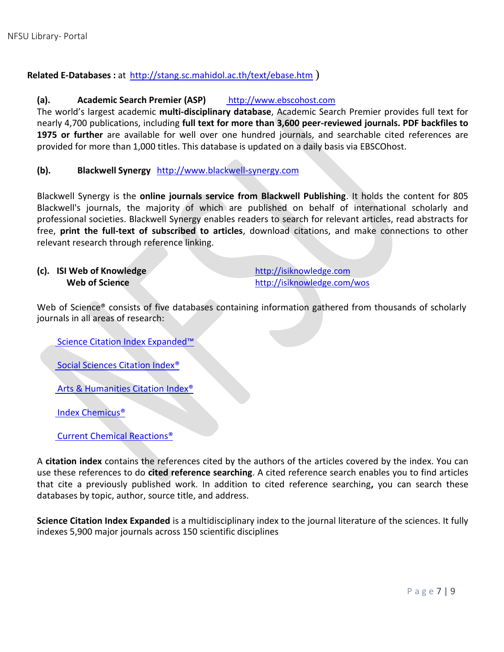#### **Related E-Databases :** at <http://stang.sc.mahidol.ac.th/text/ebase.htm> )

#### **(a). Academic Search Premier (ASP)** [http://www.ebscohost.com](http://www.ebscohost.com/)

The world's largest academic **multi-disciplinary database**, Academic Search Premier provides full text for nearly 4,700 publications, including **full text for more than 3,600 peer-reviewed journals. PDF backfiles to 1975 or further** are available for well over one hundred journals, and searchable cited references are provided for more than 1,000 titles. This database is updated on a daily basis via EBSCOhost.

#### **(b). Blackwell Synergy** [http://www.blackwell-synergy.com](http://www.blackwell-synergy.com/)

Blackwell Synergy is the **online journals service from Blackwell Publishing**. It holds the content for 805 Blackwell's journals, the majority of which are published on behalf of international scholarly and professional societies. Blackwell Synergy enables readers to search for relevant articles, read abstracts for free, **print the full-text of subscribed to articles**, download citations, and make connections to other relevant research through reference linking.

## **(c). ISI Web of Knowledge** [http://isiknowledge.com](http://isiknowledge.com/)

**Web of Science <http://isiknowledge.com/wos>** 

Web of Science® consists of five databases containing information gathered from thousands of scholarly journals in all areas of research:

Science Citation Index [Expanded](http://wos17.isiknowledge.com/help/h_database.htm#sci)™

Social [Sciences](http://wos17.isiknowledge.com/help/h_database.htm#ssci) Citation Index®

Arts & [Humanities](http://wos17.isiknowledge.com/help/h_database.htm#ahci) Citation Index®

Index [Chemicus®](http://wos17.isiknowledge.com/help/h_database.htm#ic)

Current Chemical [Reactions®](http://wos17.isiknowledge.com/help/h_database.htm#ccr)

A **citation index** contains the references cited by the authors of the articles covered by the index. You can use these references to do **cited reference searching**. A cited reference search enables you to find articles that cite a previously published work. In addition to cited reference searching**,** you can search these databases by topic, author, source title, and address.

**Science Citation Index Expanded** is a multidisciplinary index to the journal literature of the sciences. It fully indexes 5,900 major journals across 150 scientific disciplines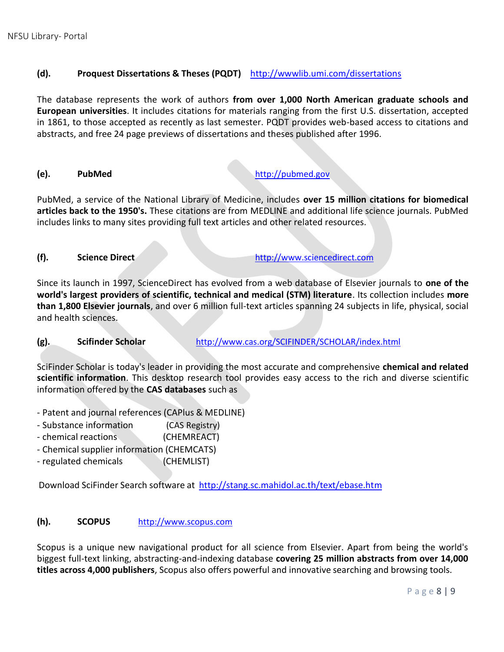#### **(d). Proquest Dissertations & Theses (PQDT)** <http://wwwlib.umi.com/dissertations>

The database represents the work of authors **from over 1,000 North American graduate schools and European universities**. It includes citations for materials ranging from the first U.S. dissertation, accepted in 1861, to those accepted as recently as last semester. PQDT provides web-based access to citations and abstracts, and free 24 page previews of dissertations and theses published after 1996.

**(e).** PubMed [http://pubmed.gov](http://pubmed.gov/)

PubMed, a service of the National Library of Medicine, includes **over 15 million citations for biomedical articles back to the 1950's.** These citations are from MEDLINE and additional life science journals. PubMed includes links to many sites providing full text articles and other related resources.

**(f). Science Direct CONSERVICE 10.1 <b>SCIENCE 10.1 SCIENCE 10.1 [http://www.sciencedirect.com](http://www.sciencedirect.com/)** 

Since its launch in 1997, ScienceDirect has evolved from a web database of Elsevier journals to **one of the world's largest providers of scientific, technical and medical (STM) literature**. Its collection includes **more than 1,800 Elsevier journals**, and over 6 million full-text articles spanning 24 subjects in life, physical, social and health sciences.

**(g). Scifinder Scholar** <http://www.cas.org/SCIFINDER/SCHOLAR/index.html>

SciFinder Scholar is today's leader in providing the most accurate and comprehensive **chemical and related scientific information**. This desktop research tool provides easy access to the rich and diverse scientific information offered by the **CAS databases** such as

- Patent and journal references (CAPlus & MEDLINE)
- Substance information (CAS Registry)
- chemical reactions (CHEMREACT)
- Chemical supplier information (CHEMCATS)
- regulated chemicals (CHEMLIST)

Download SciFinder Search software at <http://stang.sc.mahidol.ac.th/text/ebase.htm>

#### **(h). SCOPUS** [http://www.scopus.com](http://www.scopus.com/)

Scopus is a unique new navigational product for all science from Elsevier. Apart from being the world's biggest full-text linking, abstracting-and-indexing database **covering 25 million abstracts from over 14,000 titles across 4,000 publishers**, Scopus also offers powerful and innovative searching and browsing tools.